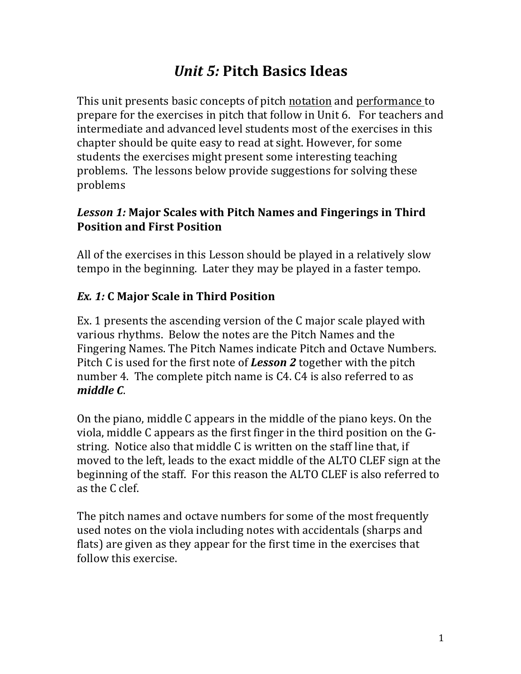# *Unit 5:* **Pitch Basics Ideas**

This unit presents basic concepts of pitch notation and performance to prepare for the exercises in pitch that follow in Unit 6. For teachers and intermediate and advanced level students most of the exercises in this chapter should be quite easy to read at sight. However, for some students the exercises might present some interesting teaching problems. The lessons below provide suggestions for solving these problems

## Lesson 1: Major Scales with Pitch Names and Fingerings in Third **Position and First Position**

All of the exercises in this Lesson should be played in a relatively slow tempo in the beginning. Later they may be played in a faster tempo.

# *Ex. 1:* **C Major Scale in Third Position**

Ex. 1 presents the ascending version of the C major scale played with various rhythms. Below the notes are the Pitch Names and the Fingering Names. The Pitch Names indicate Pitch and Octave Numbers. Pitch C is used for the first note of **Lesson 2** together with the pitch number 4. The complete pitch name is C4. C4 is also referred to as *middle C*. 

On the piano, middle C appears in the middle of the piano keys. On the viola, middle  $C$  appears as the first finger in the third position on the  $G$ string. Notice also that middle C is written on the staff line that, if moved to the left, leads to the exact middle of the ALTO CLEF sign at the beginning of the staff. For this reason the ALTO CLEF is also referred to as the C clef.

The pitch names and octave numbers for some of the most frequently used notes on the viola including notes with accidentals (sharps and flats) are given as they appear for the first time in the exercises that follow this exercise.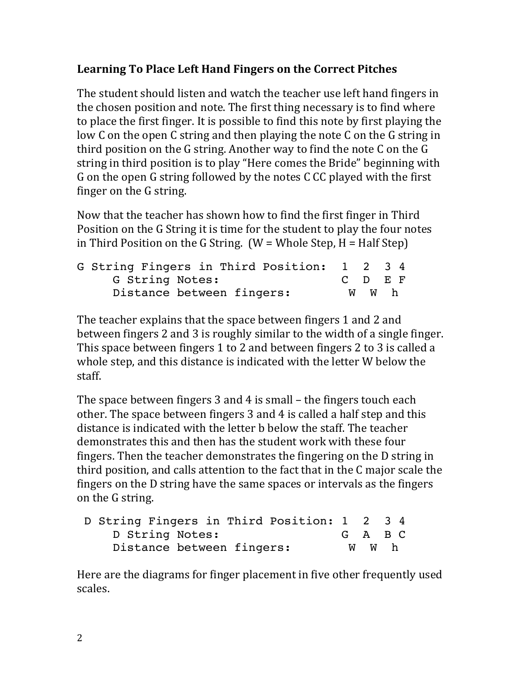# Learning To Place Left Hand Fingers on the Correct Pitches

The student should listen and watch the teacher use left hand fingers in the chosen position and note. The first thing necessary is to find where to place the first finger. It is possible to find this note by first playing the low C on the open C string and then playing the note C on the G string in third position on the  $G$  string. Another way to find the note  $C$  on the  $G$ string in third position is to play "Here comes the Bride" beginning with G on the open G string followed by the notes C CC played with the first finger on the G string.

Now that the teacher has shown how to find the first finger in Third Position on the G String it is time for the student to play the four notes in Third Position on the G String.  $(W = Whole Step, H = Half Step)$ 

| G String Fingers in Third Position: 1 2 3 4 |  |       |         |
|---------------------------------------------|--|-------|---------|
| G String Notes:                             |  |       | C D E F |
| Distance between fingers:                   |  | W W h |         |

The teacher explains that the space between fingers 1 and 2 and between fingers 2 and 3 is roughly similar to the width of a single finger. This space between fingers 1 to 2 and between fingers 2 to 3 is called a whole step, and this distance is indicated with the letter W below the staff. 

The space between fingers 3 and 4 is small  $-$  the fingers touch each other. The space between fingers 3 and 4 is called a half step and this distance is indicated with the letter b below the staff. The teacher demonstrates this and then has the student work with these four fingers. Then the teacher demonstrates the fingering on the D string in third position, and calls attention to the fact that in the C major scale the fingers on the D string have the same spaces or intervals as the fingers on the G string.

| D String Fingers in Third Position: 1 2 3 4 |       |         |
|---------------------------------------------|-------|---------|
| D String Notes:                             |       | G A B C |
| Distance between fingers:                   | W W h |         |

Here are the diagrams for finger placement in five other frequently used scales.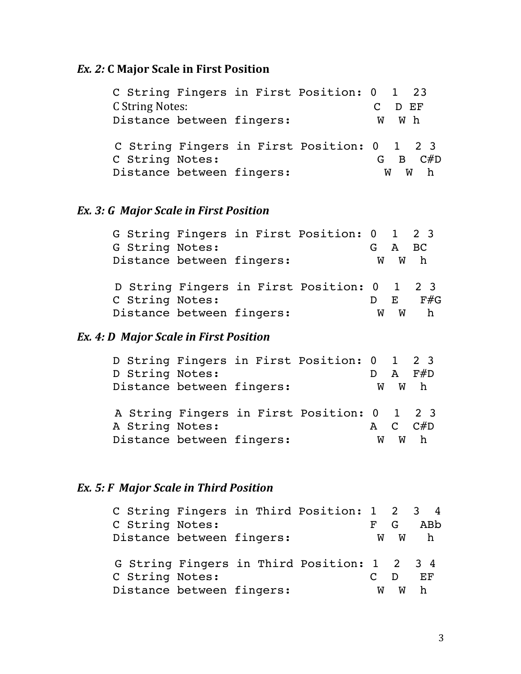#### *Ex.* **2: C Major Scale in First Position**

 C String Fingers in First Position: 0 1 23 C String Notes: C D EF Distance between fingers: W W h C String Fingers in First Position: 0 1 2 3 C String Notes: G B C#D Distance between fingers: WW W h

#### *Ex.* 3: G Major Scale in First Position

|  |                           |  | G String Fingers in First Position: 0 1 2 3 |   |        |     |
|--|---------------------------|--|---------------------------------------------|---|--------|-----|
|  | G String Notes:           |  |                                             |   | G A BC |     |
|  | Distance between fingers: |  |                                             |   | W W h  |     |
|  |                           |  | D String Fingers in First Position: 0 1 2 3 |   |        |     |
|  | C String Notes:           |  |                                             |   | F.     | F#G |
|  | Distance between fingers: |  |                                             | W | w      |     |

#### *Ex.* 4: D Major Scale in First Position

| D String Fingers in First Position: 0 1 2 3 |  |   |              |     |
|---------------------------------------------|--|---|--------------|-----|
| D String Notes:                             |  |   | $\mathbf{A}$ | F#D |
| Distance between fingers:                   |  | w |              | W h |
| A String Fingers in First Position: 0 1 2 3 |  |   |              |     |
| A String Notes:                             |  |   | A C          | C#D |
| Distance between fingers:                   |  | W | W            | h.  |

#### *Ex.* 5: F Major Scale in Third Position

|                           |  | C String Fingers in Third Position: 1 2 3 4 |          |          |     |  |
|---------------------------|--|---------------------------------------------|----------|----------|-----|--|
| C String Notes:           |  |                                             |          | G        | ABb |  |
| Distance between fingers: |  |                                             | <b>W</b> | <b>W</b> | h.  |  |
|                           |  | G String Fingers in Third Position: 1 2 3 4 |          |          |     |  |
| C String Notes:           |  |                                             |          |          | F.F |  |
| Distance between fingers: |  |                                             | W        | W        |     |  |